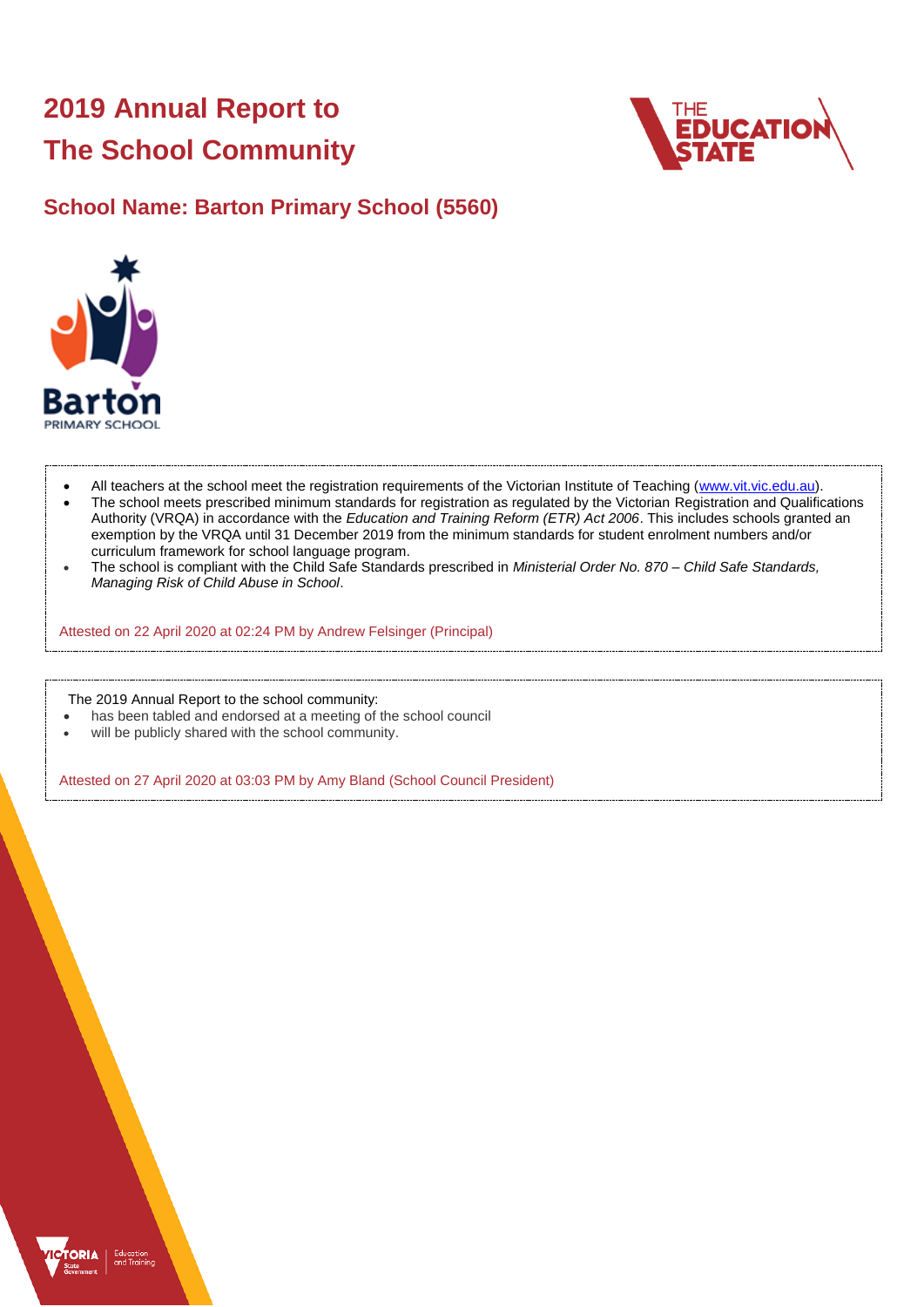# **2019 Annual Report to The School Community**



### **School Name: Barton Primary School (5560)**



- All teachers at the school meet the registration requirements of the Victorian Institute of Teaching [\(www.vit.vic.edu.au\)](https://www.vit.vic.edu.au/).
- The school meets prescribed minimum standards for registration as regulated by the Victorian Registration and Qualifications Authority (VRQA) in accordance with the *Education and Training Reform (ETR) Act 2006*. This includes schools granted an exemption by the VRQA until 31 December 2019 from the minimum standards for student enrolment numbers and/or curriculum framework for school language program.
- The school is compliant with the Child Safe Standards prescribed in *Ministerial Order No. 870 – Child Safe Standards, Managing Risk of Child Abuse in School*.

Attested on 22 April 2020 at 02:24 PM by Andrew Felsinger (Principal)

The 2019 Annual Report to the school community:

- has been tabled and endorsed at a meeting of the school council
- will be publicly shared with the school community.

Attested on 27 April 2020 at 03:03 PM by Amy Bland (School Council President)

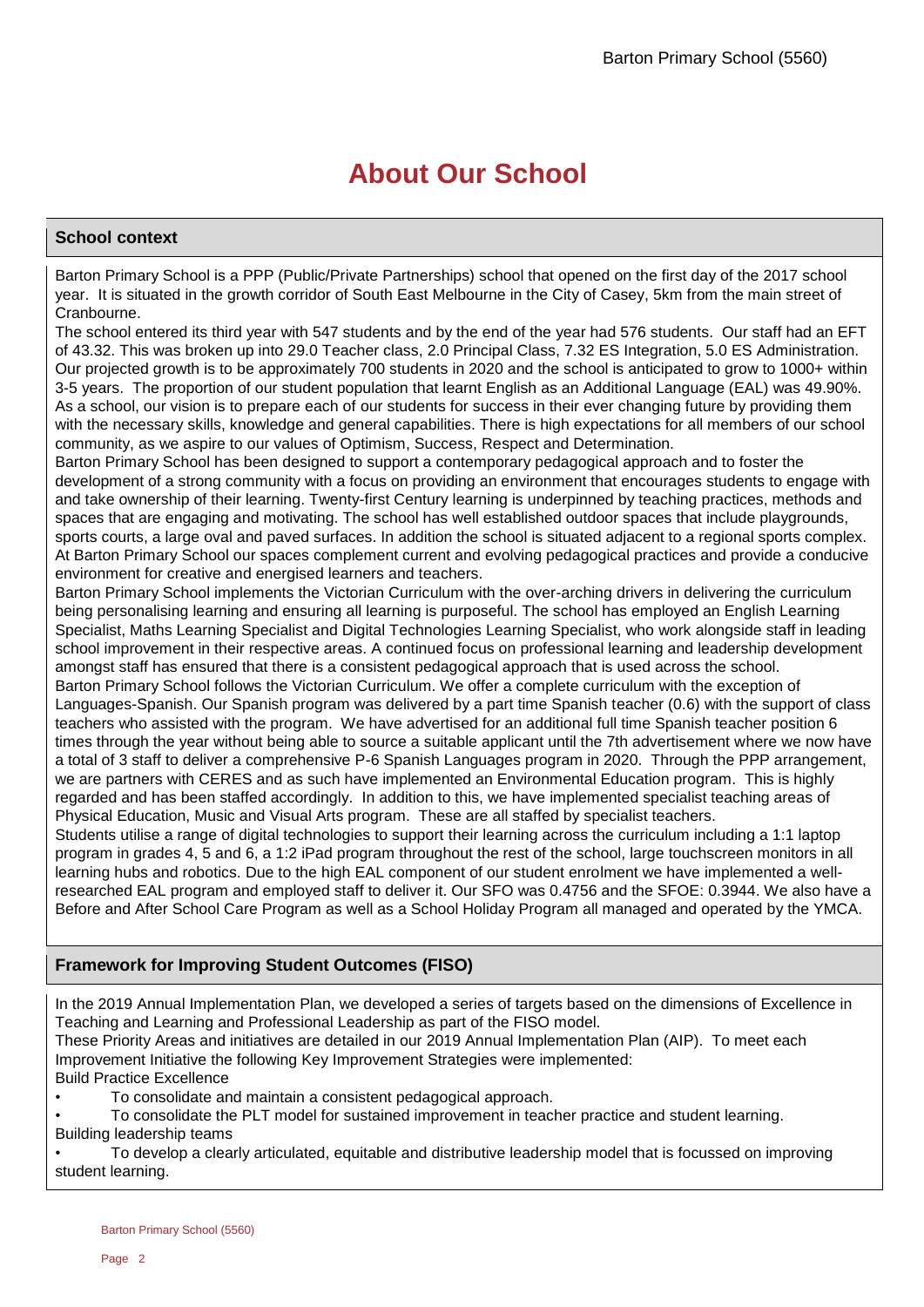# **About Our School**

### **School context**

Barton Primary School is a PPP (Public/Private Partnerships) school that opened on the first day of the 2017 school year. It is situated in the growth corridor of South East Melbourne in the City of Casey, 5km from the main street of Cranbourne.

The school entered its third year with 547 students and by the end of the year had 576 students. Our staff had an EFT of 43.32. This was broken up into 29.0 Teacher class, 2.0 Principal Class, 7.32 ES Integration, 5.0 ES Administration. Our projected growth is to be approximately 700 students in 2020 and the school is anticipated to grow to 1000+ within 3-5 years. The proportion of our student population that learnt English as an Additional Language (EAL) was 49.90%. As a school, our vision is to prepare each of our students for success in their ever changing future by providing them with the necessary skills, knowledge and general capabilities. There is high expectations for all members of our school community, as we aspire to our values of Optimism, Success, Respect and Determination.

Barton Primary School has been designed to support a contemporary pedagogical approach and to foster the development of a strong community with a focus on providing an environment that encourages students to engage with and take ownership of their learning. Twenty-first Century learning is underpinned by teaching practices, methods and spaces that are engaging and motivating. The school has well established outdoor spaces that include playgrounds, sports courts, a large oval and paved surfaces. In addition the school is situated adjacent to a regional sports complex. At Barton Primary School our spaces complement current and evolving pedagogical practices and provide a conducive environment for creative and energised learners and teachers.

Barton Primary School implements the Victorian Curriculum with the over-arching drivers in delivering the curriculum being personalising learning and ensuring all learning is purposeful. The school has employed an English Learning Specialist, Maths Learning Specialist and Digital Technologies Learning Specialist, who work alongside staff in leading school improvement in their respective areas. A continued focus on professional learning and leadership development amongst staff has ensured that there is a consistent pedagogical approach that is used across the school.

Barton Primary School follows the Victorian Curriculum. We offer a complete curriculum with the exception of Languages-Spanish. Our Spanish program was delivered by a part time Spanish teacher (0.6) with the support of class teachers who assisted with the program. We have advertised for an additional full time Spanish teacher position 6 times through the year without being able to source a suitable applicant until the 7th advertisement where we now have a total of 3 staff to deliver a comprehensive P-6 Spanish Languages program in 2020. Through the PPP arrangement, we are partners with CERES and as such have implemented an Environmental Education program. This is highly regarded and has been staffed accordingly. In addition to this, we have implemented specialist teaching areas of Physical Education, Music and Visual Arts program. These are all staffed by specialist teachers.

Students utilise a range of digital technologies to support their learning across the curriculum including a 1:1 laptop program in grades 4, 5 and 6, a 1:2 iPad program throughout the rest of the school, large touchscreen monitors in all learning hubs and robotics. Due to the high EAL component of our student enrolment we have implemented a wellresearched EAL program and employed staff to deliver it. Our SFO was 0.4756 and the SFOE: 0.3944. We also have a Before and After School Care Program as well as a School Holiday Program all managed and operated by the YMCA.

### **Framework for Improving Student Outcomes (FISO)**

In the 2019 Annual Implementation Plan, we developed a series of targets based on the dimensions of Excellence in Teaching and Learning and Professional Leadership as part of the FISO model.

These Priority Areas and initiatives are detailed in our 2019 Annual Implementation Plan (AIP). To meet each Improvement Initiative the following Key Improvement Strategies were implemented:

Build Practice Excellence

• To consolidate and maintain a consistent pedagogical approach.

• To consolidate the PLT model for sustained improvement in teacher practice and student learning. Building leadership teams

• To develop a clearly articulated, equitable and distributive leadership model that is focussed on improving student learning.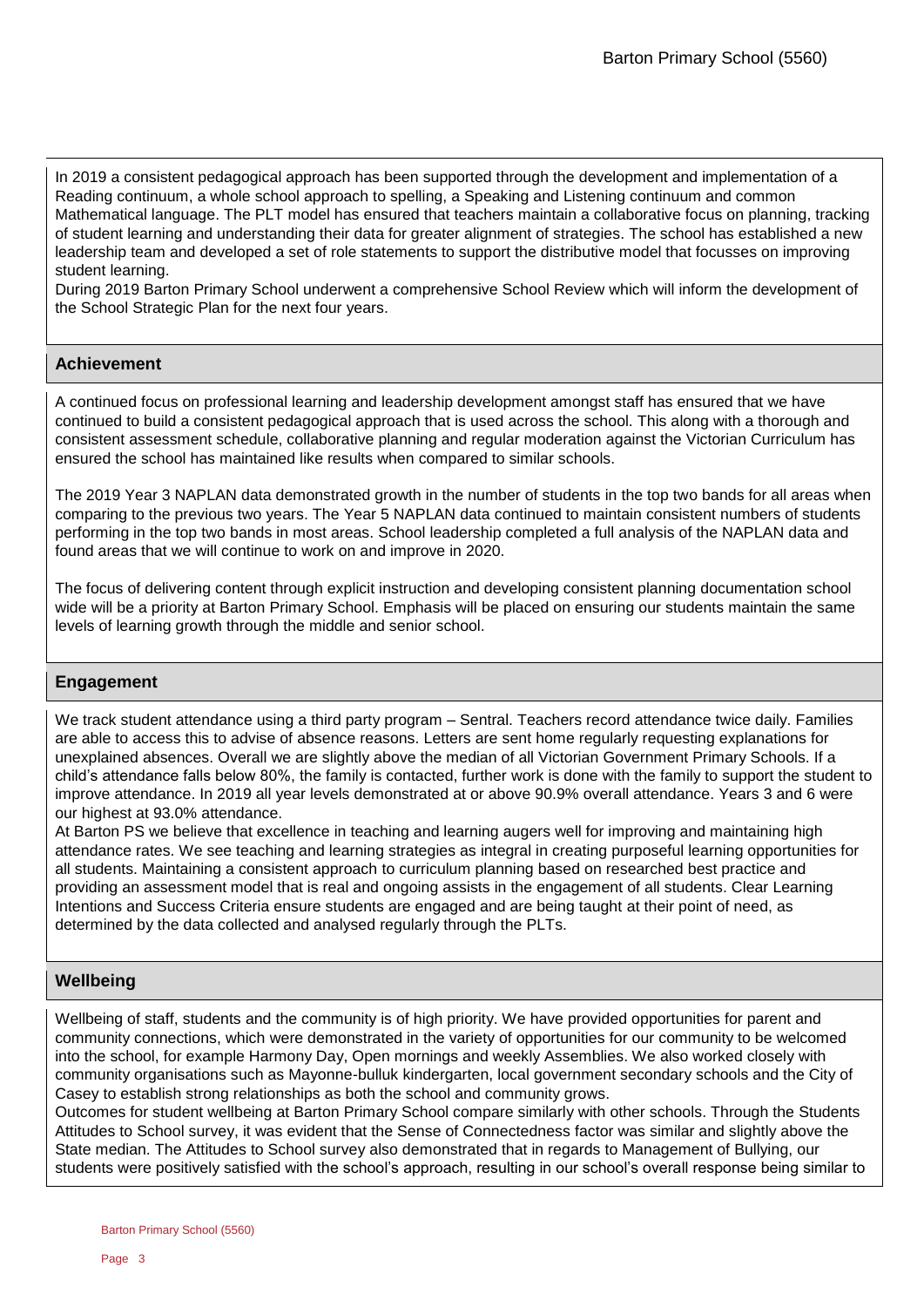In 2019 a consistent pedagogical approach has been supported through the development and implementation of a Reading continuum, a whole school approach to spelling, a Speaking and Listening continuum and common Mathematical language. The PLT model has ensured that teachers maintain a collaborative focus on planning, tracking of student learning and understanding their data for greater alignment of strategies. The school has established a new leadership team and developed a set of role statements to support the distributive model that focusses on improving student learning.

During 2019 Barton Primary School underwent a comprehensive School Review which will inform the development of the School Strategic Plan for the next four years.

### **Achievement**

A continued focus on professional learning and leadership development amongst staff has ensured that we have continued to build a consistent pedagogical approach that is used across the school. This along with a thorough and consistent assessment schedule, collaborative planning and regular moderation against the Victorian Curriculum has ensured the school has maintained like results when compared to similar schools.

The 2019 Year 3 NAPLAN data demonstrated growth in the number of students in the top two bands for all areas when comparing to the previous two years. The Year 5 NAPLAN data continued to maintain consistent numbers of students performing in the top two bands in most areas. School leadership completed a full analysis of the NAPLAN data and found areas that we will continue to work on and improve in 2020.

The focus of delivering content through explicit instruction and developing consistent planning documentation school wide will be a priority at Barton Primary School. Emphasis will be placed on ensuring our students maintain the same levels of learning growth through the middle and senior school.

### **Engagement**

We track student attendance using a third party program – Sentral. Teachers record attendance twice daily. Families are able to access this to advise of absence reasons. Letters are sent home regularly requesting explanations for unexplained absences. Overall we are slightly above the median of all Victorian Government Primary Schools. If a child's attendance falls below 80%, the family is contacted, further work is done with the family to support the student to improve attendance. In 2019 all year levels demonstrated at or above 90.9% overall attendance. Years 3 and 6 were our highest at 93.0% attendance.

At Barton PS we believe that excellence in teaching and learning augers well for improving and maintaining high attendance rates. We see teaching and learning strategies as integral in creating purposeful learning opportunities for all students. Maintaining a consistent approach to curriculum planning based on researched best practice and providing an assessment model that is real and ongoing assists in the engagement of all students. Clear Learning Intentions and Success Criteria ensure students are engaged and are being taught at their point of need, as determined by the data collected and analysed regularly through the PLTs.

### **Wellbeing**

Wellbeing of staff, students and the community is of high priority. We have provided opportunities for parent and community connections, which were demonstrated in the variety of opportunities for our community to be welcomed into the school, for example Harmony Day, Open mornings and weekly Assemblies. We also worked closely with community organisations such as Mayonne-bulluk kindergarten, local government secondary schools and the City of Casey to establish strong relationships as both the school and community grows.

Outcomes for student wellbeing at Barton Primary School compare similarly with other schools. Through the Students Attitudes to School survey, it was evident that the Sense of Connectedness factor was similar and slightly above the State median. The Attitudes to School survey also demonstrated that in regards to Management of Bullying, our students were positively satisfied with the school's approach, resulting in our school's overall response being similar to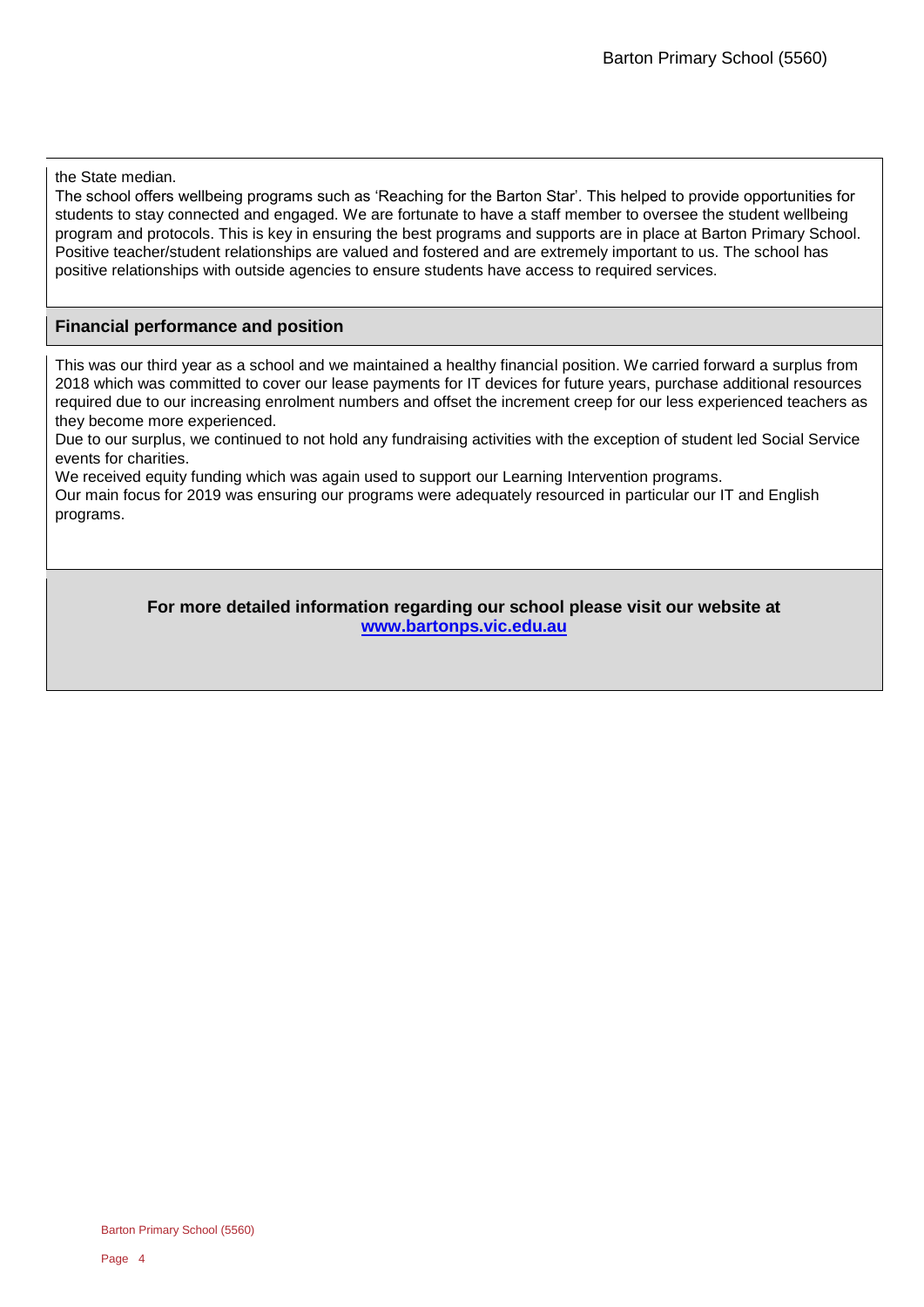the State median.

The school offers wellbeing programs such as 'Reaching for the Barton Star'. This helped to provide opportunities for students to stay connected and engaged. We are fortunate to have a staff member to oversee the student wellbeing program and protocols. This is key in ensuring the best programs and supports are in place at Barton Primary School. Positive teacher/student relationships are valued and fostered and are extremely important to us. The school has positive relationships with outside agencies to ensure students have access to required services.

### **Financial performance and position**

This was our third year as a school and we maintained a healthy financial position. We carried forward a surplus from 2018 which was committed to cover our lease payments for IT devices for future years, purchase additional resources required due to our increasing enrolment numbers and offset the increment creep for our less experienced teachers as they become more experienced.

Due to our surplus, we continued to not hold any fundraising activities with the exception of student led Social Service events for charities.

We received equity funding which was again used to support our Learning Intervention programs.

Our main focus for 2019 was ensuring our programs were adequately resourced in particular our IT and English programs.

> **For more detailed information regarding our school please visit our website at [www.bartonps.vic.edu.au](file:///C:/Users/08125000/Downloads/www.bartonps.vic.edu.au)**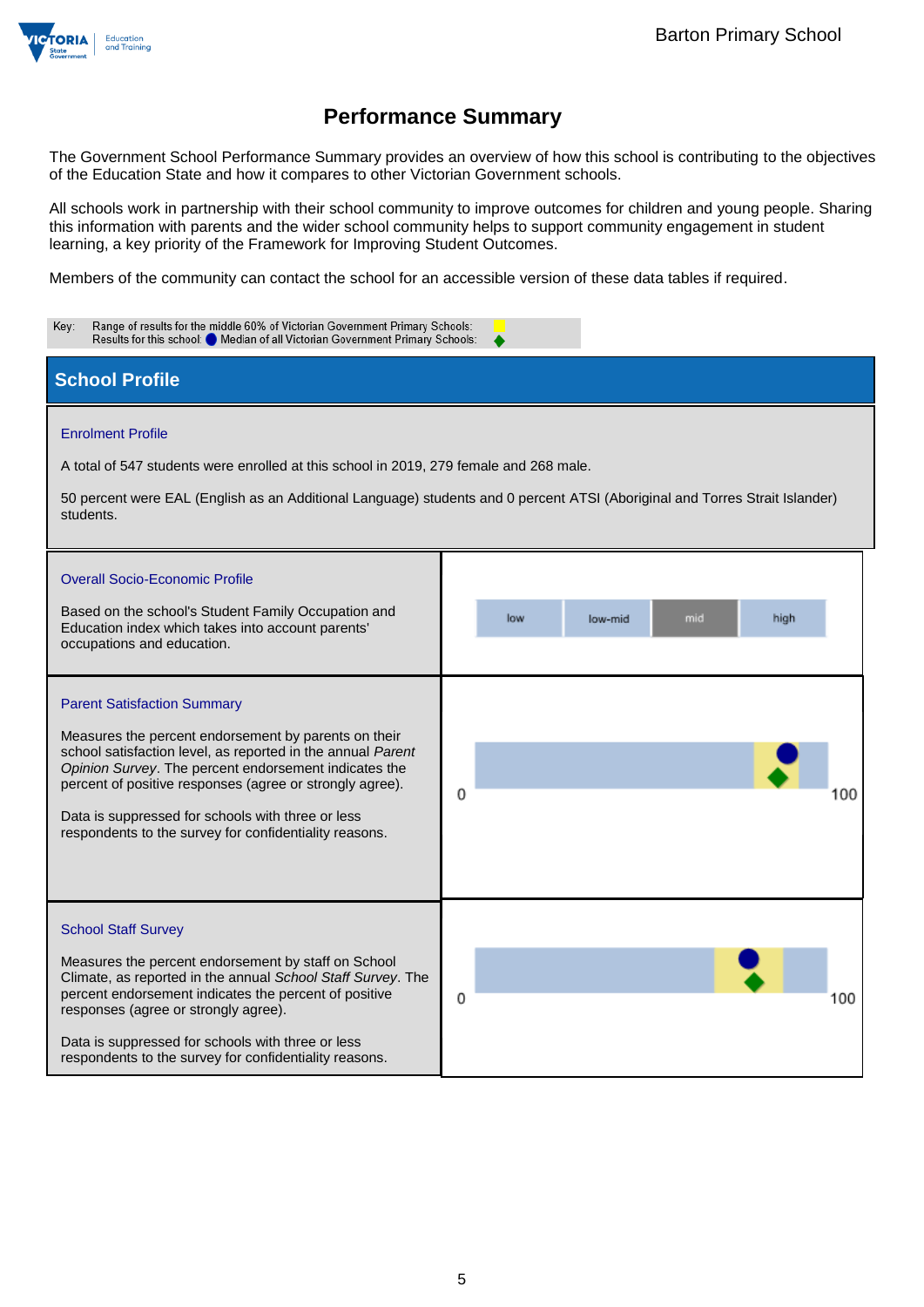

The Government School Performance Summary provides an overview of how this school is contributing to the objectives of the Education State and how it compares to other Victorian Government schools.

All schools work in partnership with their school community to improve outcomes for children and young people. Sharing this information with parents and the wider school community helps to support community engagement in student learning, a key priority of the Framework for Improving Student Outcomes.

Members of the community can contact the school for an accessible version of these data tables if required.

| Range of results for the middle 60% of Victorian Government Primary Schools:<br>Key:<br>Results for this school: Median of all Victorian Government Primary Schools:                                                                                                                                                                                                                          |                                                                                                                             |
|-----------------------------------------------------------------------------------------------------------------------------------------------------------------------------------------------------------------------------------------------------------------------------------------------------------------------------------------------------------------------------------------------|-----------------------------------------------------------------------------------------------------------------------------|
| <b>School Profile</b>                                                                                                                                                                                                                                                                                                                                                                         |                                                                                                                             |
| <b>Enrolment Profile</b><br>A total of 547 students were enrolled at this school in 2019, 279 female and 268 male.<br>students.<br><b>Overall Socio-Economic Profile</b>                                                                                                                                                                                                                      | 50 percent were EAL (English as an Additional Language) students and 0 percent ATSI (Aboriginal and Torres Strait Islander) |
| Based on the school's Student Family Occupation and<br>Education index which takes into account parents'<br>occupations and education.                                                                                                                                                                                                                                                        | mid<br>high<br>low<br>low-mid                                                                                               |
| <b>Parent Satisfaction Summary</b><br>Measures the percent endorsement by parents on their<br>school satisfaction level, as reported in the annual Parent<br>Opinion Survey. The percent endorsement indicates the<br>percent of positive responses (agree or strongly agree).<br>Data is suppressed for schools with three or less<br>respondents to the survey for confidentiality reasons. | 0<br>00                                                                                                                     |
| <b>School Staff Survey</b><br>Measures the percent endorsement by staff on School<br>Climate, as reported in the annual School Staff Survey. The<br>percent endorsement indicates the percent of positive<br>responses (agree or strongly agree).<br>Data is suppressed for schools with three or less<br>respondents to the survey for confidentiality reasons.                              | 0<br>100                                                                                                                    |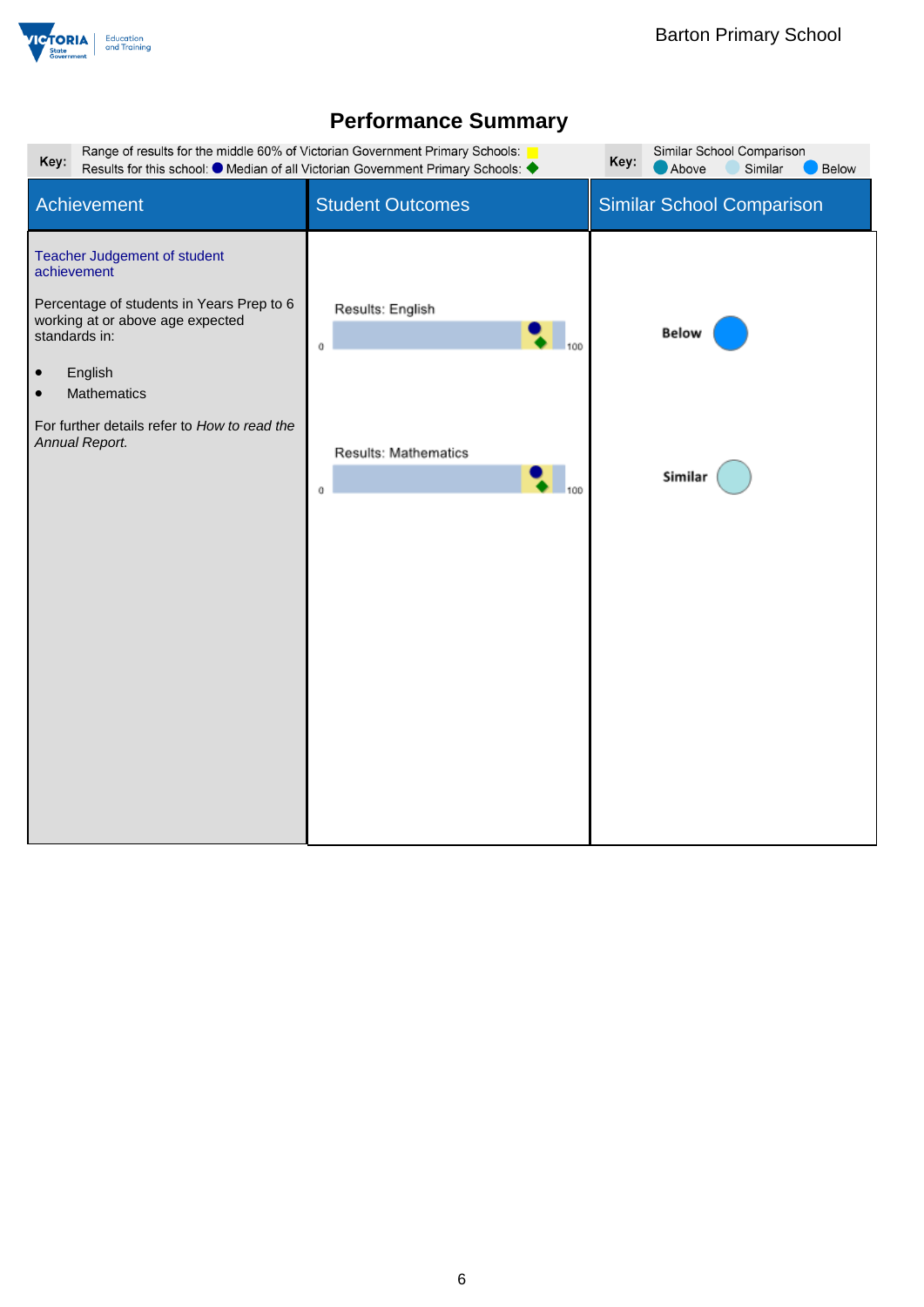

| Key:                                                                                                                                                                                                                                                                       | Range of results for the middle 60% of Victorian Government Primary Schools:<br>Results for this school: ● Median of all Victorian Government Primary Schools: ◆ | Similar School Comparison<br>Key:<br>Similar<br>Above<br>Below |
|----------------------------------------------------------------------------------------------------------------------------------------------------------------------------------------------------------------------------------------------------------------------------|------------------------------------------------------------------------------------------------------------------------------------------------------------------|----------------------------------------------------------------|
| Achievement                                                                                                                                                                                                                                                                | <b>Student Outcomes</b>                                                                                                                                          | Similar School Comparison                                      |
| Teacher Judgement of student<br>achievement<br>Percentage of students in Years Prep to 6<br>working at or above age expected<br>standards in:<br>English<br>$\bullet$<br><b>Mathematics</b><br>$\bullet$<br>For further details refer to How to read the<br>Annual Report. | Results: English<br>0<br>Results: Mathematics<br>0                                                                                                               | <b>Below</b><br>Similar                                        |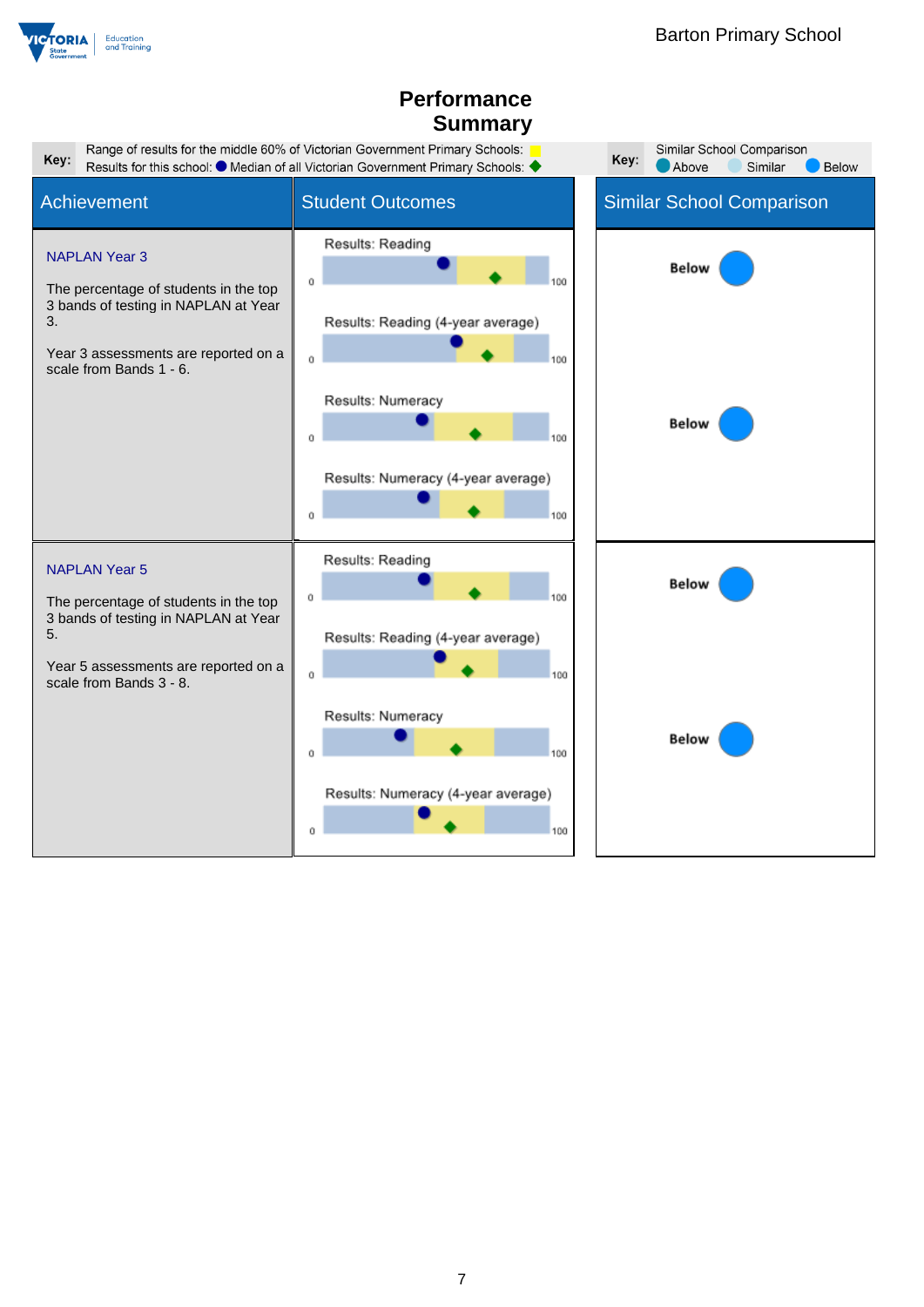

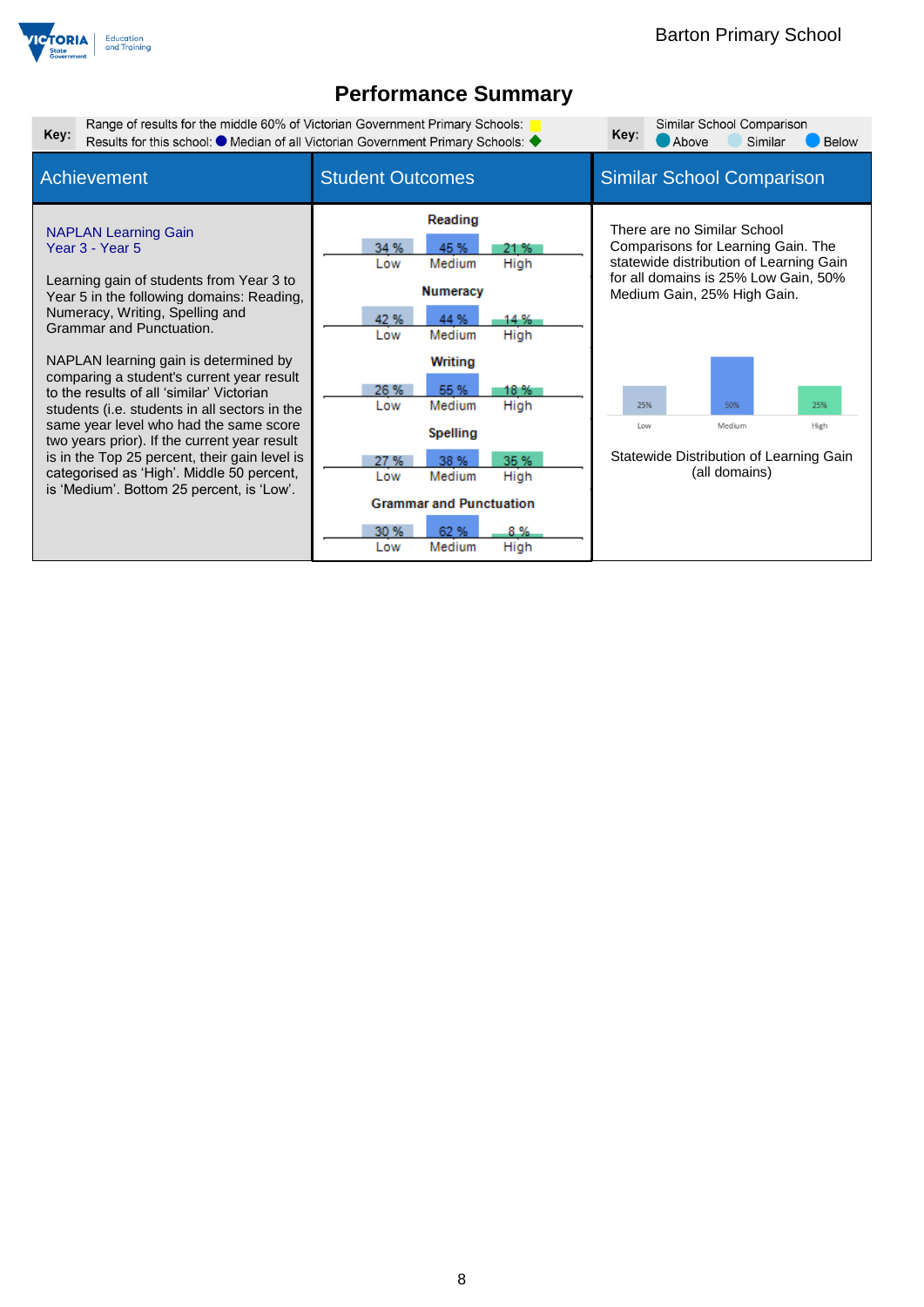

| Key: | Range of results for the middle 60% of Victorian Government Primary Schools:                                                                                                                                                                                                                                                                                                                                                                                                                                                                                                                                                    | Results for this school: ● Median of all Victorian Government Primary Schools: ◆                                                                                                                                                                                                                                             | Similar School Comparison<br>Key:<br><b>Below</b><br>Above<br>Similar                                                                                                                                                                                                                         |
|------|---------------------------------------------------------------------------------------------------------------------------------------------------------------------------------------------------------------------------------------------------------------------------------------------------------------------------------------------------------------------------------------------------------------------------------------------------------------------------------------------------------------------------------------------------------------------------------------------------------------------------------|------------------------------------------------------------------------------------------------------------------------------------------------------------------------------------------------------------------------------------------------------------------------------------------------------------------------------|-----------------------------------------------------------------------------------------------------------------------------------------------------------------------------------------------------------------------------------------------------------------------------------------------|
|      | Achievement                                                                                                                                                                                                                                                                                                                                                                                                                                                                                                                                                                                                                     | <b>Student Outcomes</b>                                                                                                                                                                                                                                                                                                      | <b>Similar School Comparison</b>                                                                                                                                                                                                                                                              |
|      | <b>NAPLAN Learning Gain</b><br>Year 3 - Year 5<br>Learning gain of students from Year 3 to<br>Year 5 in the following domains: Reading,<br>Numeracy, Writing, Spelling and<br>Grammar and Punctuation.<br>NAPLAN learning gain is determined by<br>comparing a student's current year result<br>to the results of all 'similar' Victorian<br>students (i.e. students in all sectors in the<br>same year level who had the same score<br>two years prior). If the current year result<br>is in the Top 25 percent, their gain level is<br>categorised as 'High'. Middle 50 percent,<br>is 'Medium'. Bottom 25 percent, is 'Low'. | Reading<br>34 %<br>45 %<br>21 %<br>High<br>Low<br>Medium<br><b>Numeracy</b><br>42 %<br>44 %<br>14 %<br>Medium<br>High<br>Low<br><b>Writing</b><br>26 %<br>55 %<br>18 %<br>High<br>Medium<br>Low<br><b>Spelling</b><br>35 %<br>27 %<br>38 %<br>Medium<br>High<br>Low<br><b>Grammar and Punctuation</b><br>30 %<br>62 %<br>8 % | There are no Similar School<br>Comparisons for Learning Gain. The<br>statewide distribution of Learning Gain<br>for all domains is 25% Low Gain, 50%<br>Medium Gain, 25% High Gain.<br>25%<br>50%<br>25%<br>Medium<br>Low<br>High<br>Statewide Distribution of Learning Gain<br>(all domains) |
|      |                                                                                                                                                                                                                                                                                                                                                                                                                                                                                                                                                                                                                                 | Medium<br>High<br>Low                                                                                                                                                                                                                                                                                                        |                                                                                                                                                                                                                                                                                               |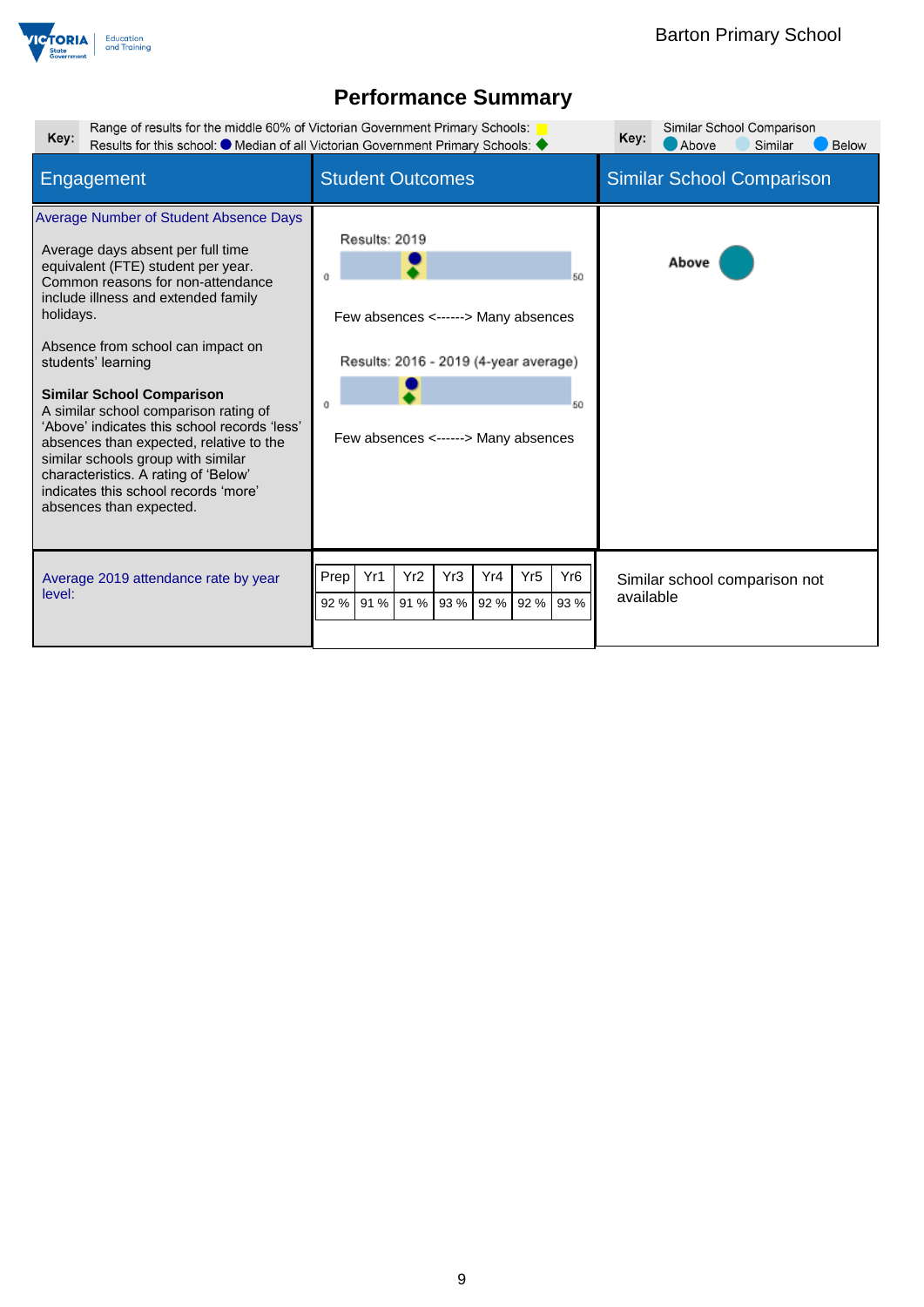

| Range of results for the middle 60% of Victorian Government Primary Schools:<br>Key:                                                                                                                                                                                                                                                                                                                                                                                                                                                                                                           | Results for this school: ● Median of all Victorian Government Primary Schools: ◆                                                                 | Similar School Comparison<br>Key:<br>Above<br>Similar<br><b>Below</b> |
|------------------------------------------------------------------------------------------------------------------------------------------------------------------------------------------------------------------------------------------------------------------------------------------------------------------------------------------------------------------------------------------------------------------------------------------------------------------------------------------------------------------------------------------------------------------------------------------------|--------------------------------------------------------------------------------------------------------------------------------------------------|-----------------------------------------------------------------------|
| Engagement                                                                                                                                                                                                                                                                                                                                                                                                                                                                                                                                                                                     | <b>Student Outcomes</b>                                                                                                                          | <b>Similar School Comparison</b>                                      |
| Average Number of Student Absence Days<br>Average days absent per full time<br>equivalent (FTE) student per year.<br>Common reasons for non-attendance<br>include illness and extended family<br>holidays.<br>Absence from school can impact on<br>students' learning<br><b>Similar School Comparison</b><br>A similar school comparison rating of<br>'Above' indicates this school records 'less'<br>absences than expected, relative to the<br>similar schools group with similar<br>characteristics. A rating of 'Below'<br>indicates this school records 'more'<br>absences than expected. | Results: 2019<br>50<br>Few absences <------> Many absences<br>Results: 2016 - 2019 (4-year average)<br>50<br>Few absences <------> Many absences | Above                                                                 |
| Average 2019 attendance rate by year<br>level:                                                                                                                                                                                                                                                                                                                                                                                                                                                                                                                                                 | Yr1<br>Yr2<br>Yr3<br>Yr <sub>5</sub><br>Yr <sub>6</sub><br>Prep<br>Yr4<br>93 %<br>93 %<br>91 % 91 %<br>92 %<br>92 %<br>92 %                      | Similar school comparison not<br>available                            |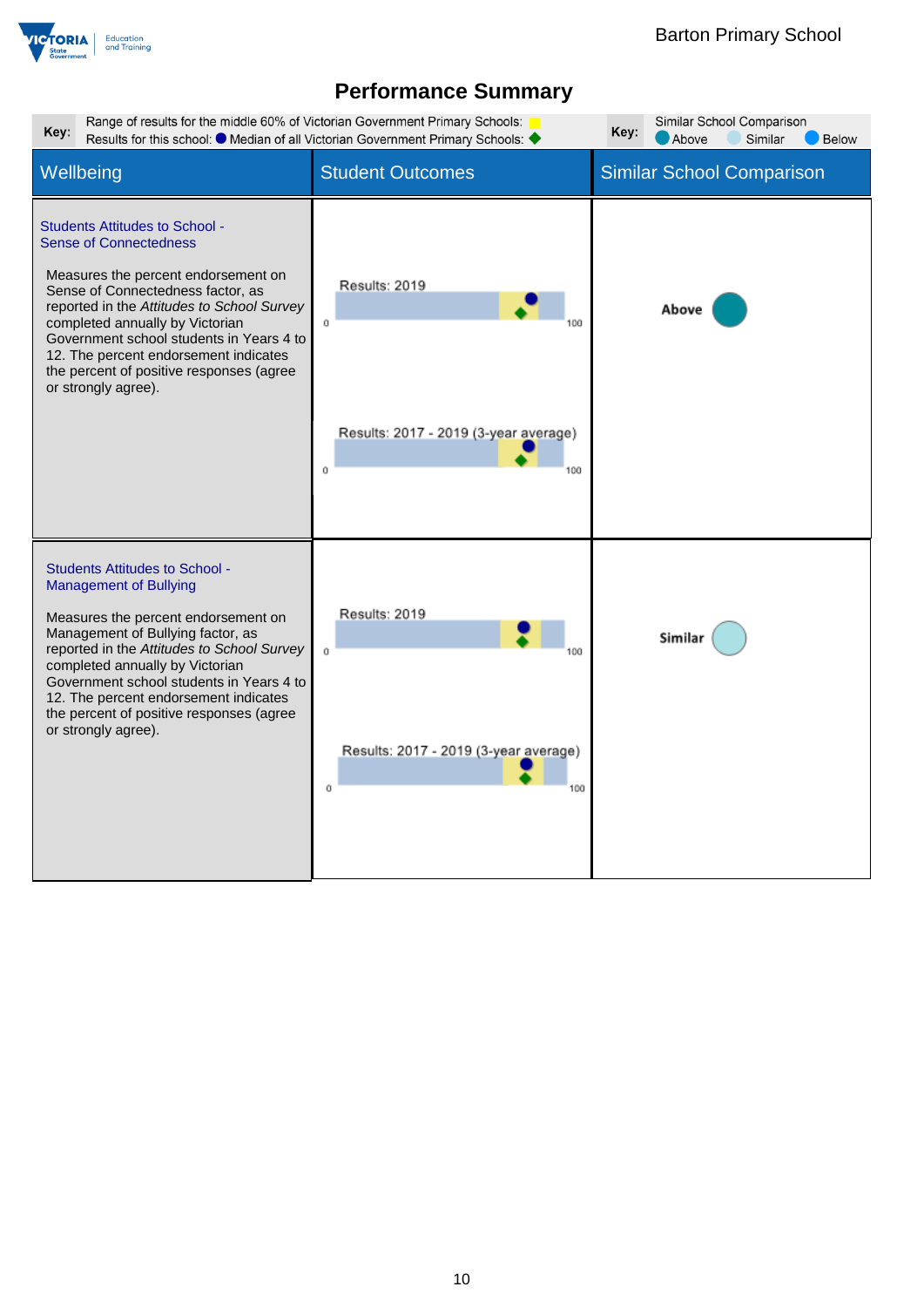

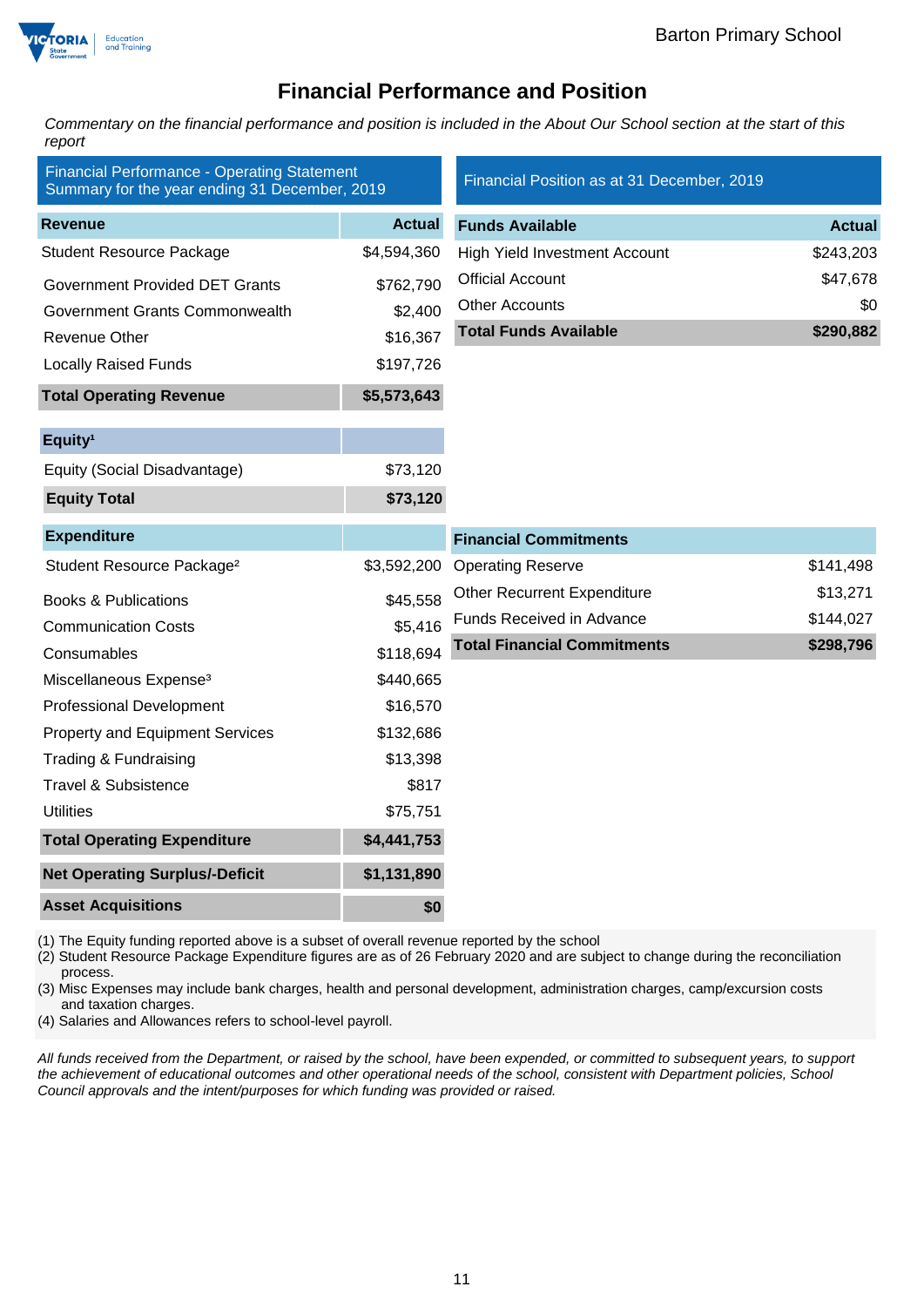

### **Financial Performance and Position**

*Commentary on the financial performance and position is included in the About Our School section at the start of this report*

| <b>Financial Performance - Operating Statement</b><br>Summary for the year ending 31 December, 2019 |               | Financial Position as at 31 December, 2019 |               |
|-----------------------------------------------------------------------------------------------------|---------------|--------------------------------------------|---------------|
| <b>Revenue</b>                                                                                      | <b>Actual</b> | <b>Funds Available</b>                     | <b>Actual</b> |
| <b>Student Resource Package</b>                                                                     | \$4,594,360   | <b>High Yield Investment Account</b>       | \$243,203     |
| <b>Government Provided DET Grants</b>                                                               | \$762,790     | <b>Official Account</b>                    | \$47,678      |
| Government Grants Commonwealth                                                                      | \$2,400       | <b>Other Accounts</b>                      | \$0           |
| <b>Revenue Other</b>                                                                                | \$16,367      | <b>Total Funds Available</b>               | \$290,882     |
| <b>Locally Raised Funds</b>                                                                         | \$197,726     |                                            |               |
| <b>Total Operating Revenue</b>                                                                      | \$5,573,643   |                                            |               |
| Equity <sup>1</sup>                                                                                 |               |                                            |               |
| Equity (Social Disadvantage)                                                                        | \$73,120      |                                            |               |
| <b>Equity Total</b>                                                                                 | \$73,120      |                                            |               |
| <b>Expenditure</b>                                                                                  |               | <b>Financial Commitments</b>               |               |
| Student Resource Package <sup>2</sup>                                                               | \$3,592,200   | <b>Operating Reserve</b>                   | \$141,498     |
| <b>Books &amp; Publications</b>                                                                     | \$45,558      | <b>Other Recurrent Expenditure</b>         | \$13,271      |
| <b>Communication Costs</b>                                                                          | \$5,416       | Funds Received in Advance                  | \$144,027     |
| Consumables                                                                                         | \$118,694     | <b>Total Financial Commitments</b>         | \$298,796     |
| Miscellaneous Expense <sup>3</sup>                                                                  | \$440,665     |                                            |               |
| <b>Professional Development</b>                                                                     | \$16,570      |                                            |               |
| <b>Property and Equipment Services</b>                                                              | \$132,686     |                                            |               |
| Trading & Fundraising                                                                               | \$13,398      |                                            |               |
| <b>Travel &amp; Subsistence</b>                                                                     | \$817         |                                            |               |
| <b>Utilities</b>                                                                                    | \$75,751      |                                            |               |
| <b>Total Operating Expenditure</b>                                                                  | \$4,441,753   |                                            |               |
| <b>Net Operating Surplus/-Deficit</b>                                                               | \$1,131,890   |                                            |               |
| <b>Asset Acquisitions</b>                                                                           | \$0           |                                            |               |

(1) The Equity funding reported above is a subset of overall revenue reported by the school

(2) Student Resource Package Expenditure figures are as of 26 February 2020 and are subject to change during the reconciliation process.

(3) Misc Expenses may include bank charges, health and personal development, administration charges, camp/excursion costs and taxation charges.

(4) Salaries and Allowances refers to school-level payroll.

*All funds received from the Department, or raised by the school, have been expended, or committed to subsequent years, to support the achievement of educational outcomes and other operational needs of the school, consistent with Department policies, School Council approvals and the intent/purposes for which funding was provided or raised.*